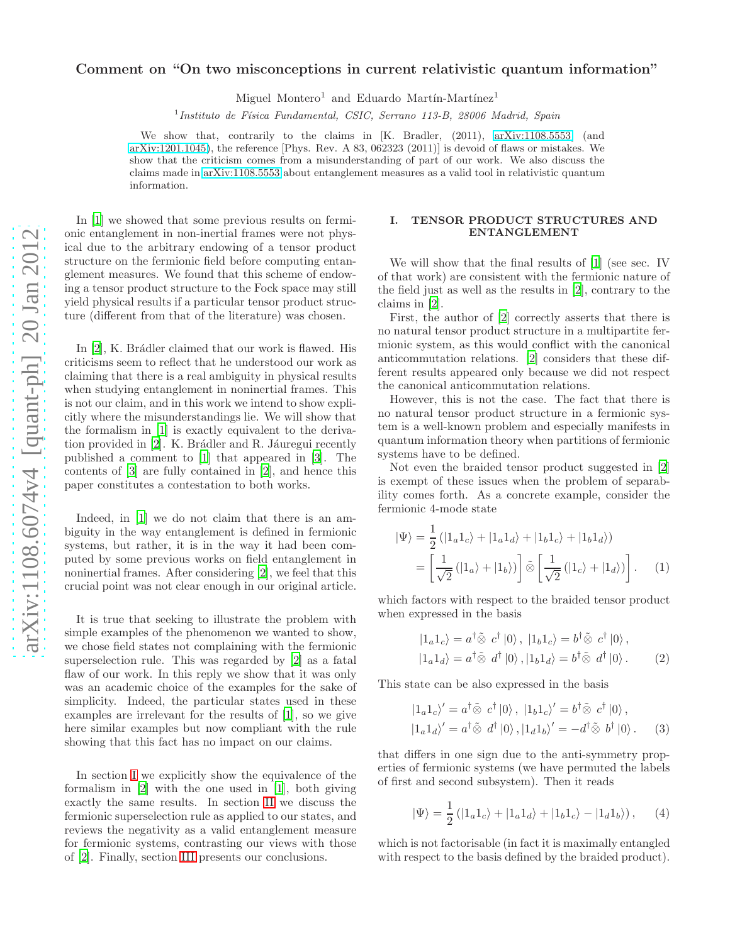# Comment on "On two misconceptions in current relativistic quantum information"

Miguel Montero<sup>1</sup> and Eduardo Martín-Martínez<sup>1</sup>

<sup>1</sup> Instituto de Física Fundamental, CSIC, Serrano 113-B, 28006 Madrid, Spain

We show that, contrarily to the claims in [K. Bradler, (2011), [arXiv:1108.5553\]](http://arxiv.org/abs/1108.5553) (and [arXiv:1201.1045\)](http://arxiv.org/abs/1201.1045), the reference [Phys. Rev. A 83, 062323 (2011)] is devoid of flaws or mistakes. We show that the criticism comes from a misunderstanding of part of our work. We also discuss the claims made in [arXiv:1108.5553](http://arxiv.org/abs/1108.5553) about entanglement measures as a valid tool in relativistic quantum information.

In [\[1](#page-4-0)] we showed that some previous results on fermionic entanglement in non-inertial frames were not physical due to the arbitrary endowing of a tensor product structure on the fermionic field before computing entanglement measures. We found that this scheme of endowing a tensor product structure to the Fock space may still yield physical results if a particular tensor product structure (different from that of the literature) was chosen.

In  $[2]$ , K. Brådler claimed that our work is flawed. His criticisms seem to reflect that he understood our work as claiming that there is a real ambiguity in physical results when studying entanglement in noninertial frames. This is not our claim, and in this work we intend to show explicitly where the misunderstandings lie. We will show that the formalism in [\[1\]](#page-4-0) is exactly equivalent to the derivation provided in  $[2]$ . K. Brádler and R. Jáuregui recently published a comment to [\[1](#page-4-0)] that appeared in [\[3\]](#page-4-2). The contents of [\[3](#page-4-2)] are fully contained in [\[2\]](#page-4-1), and hence this paper constitutes a contestation to both works.

Indeed, in [\[1](#page-4-0)] we do not claim that there is an ambiguity in the way entanglement is defined in fermionic systems, but rather, it is in the way it had been computed by some previous works on field entanglement in noninertial frames. After considering [\[2](#page-4-1)], we feel that this crucial point was not clear enough in our original article.

It is true that seeking to illustrate the problem with simple examples of the phenomenon we wanted to show, we chose field states not complaining with the fermionic superselection rule. This was regarded by [\[2](#page-4-1)] as a fatal flaw of our work. In this reply we show that it was only was an academic choice of the examples for the sake of simplicity. Indeed, the particular states used in these examples are irrelevant for the results of [\[1\]](#page-4-0), so we give here similar examples but now compliant with the rule showing that this fact has no impact on our claims.

In section [I](#page-0-0) we explicitly show the equivalence of the formalism in [\[2\]](#page-4-1) with the one used in [\[1](#page-4-0)], both giving exactly the same results. In section [II](#page-2-0) we discuss the fermionic superselection rule as applied to our states, and reviews the negativity as a valid entanglement measure for fermionic systems, contrasting our views with those of [\[2](#page-4-1)]. Finally, section [III](#page-4-3) presents our conclusions.

## <span id="page-0-0"></span>I. TENSOR PRODUCT STRUCTURES AND ENTANGLEMENT

We will show that the final results of [\[1\]](#page-4-0) (see sec. IV of that work) are consistent with the fermionic nature of the field just as well as the results in [\[2\]](#page-4-1), contrary to the claims in [\[2\]](#page-4-1).

First, the author of [\[2](#page-4-1)] correctly asserts that there is no natural tensor product structure in a multipartite fermionic system, as this would conflict with the canonical anticommutation relations. [\[2](#page-4-1)] considers that these different results appeared only because we did not respect the canonical anticommutation relations.

However, this is not the case. The fact that there is no natural tensor product structure in a fermionic system is a well-known problem and especially manifests in quantum information theory when partitions of fermionic systems have to be defined.

Not even the braided tensor product suggested in [\[2](#page-4-1)] is exempt of these issues when the problem of separability comes forth. As a concrete example, consider the fermionic 4-mode state

$$
|\Psi\rangle = \frac{1}{2} (|1_a 1_c\rangle + |1_a 1_d\rangle + |1_b 1_c\rangle + |1_b 1_d\rangle)
$$
  
= 
$$
\left[\frac{1}{\sqrt{2}} (|1_a\rangle + |1_b\rangle)\right] \tilde{\otimes} \left[\frac{1}{\sqrt{2}} (|1_c\rangle + |1_d\rangle)\right].
$$
 (1)

which factors with respect to the braided tensor product when expressed in the basis

<span id="page-0-1"></span>
$$
|1_a 1_c\rangle = a^{\dagger} \tilde{\otimes} c^{\dagger} |0\rangle, |1_b 1_c\rangle = b^{\dagger} \tilde{\otimes} c^{\dagger} |0\rangle, |1_a 1_d\rangle = a^{\dagger} \tilde{\otimes} d^{\dagger} |0\rangle, |1_b 1_d\rangle = b^{\dagger} \tilde{\otimes} d^{\dagger} |0\rangle.
$$
 (2)

This state can be also expressed in the basis

$$
|1_a 1_c\rangle' = a^\dagger \tilde{\otimes} c^\dagger |0\rangle, |1_b 1_c\rangle' = b^\dagger \tilde{\otimes} c^\dagger |0\rangle, |1_a 1_d\rangle' = a^\dagger \tilde{\otimes} d^\dagger |0\rangle, |1_d 1_b\rangle' = -d^\dagger \tilde{\otimes} b^\dagger |0\rangle. \tag{3}
$$

that differs in one sign due to the anti-symmetry properties of fermionic systems (we have permuted the labels of first and second subsystem). Then it reads

$$
|\Psi\rangle = \frac{1}{2} (|1_a 1_c\rangle + |1_a 1_d\rangle + |1_b 1_c\rangle - |1_d 1_b\rangle), \qquad (4)
$$

which is not factorisable (in fact it is maximally entangled with respect to the basis defined by the braided product).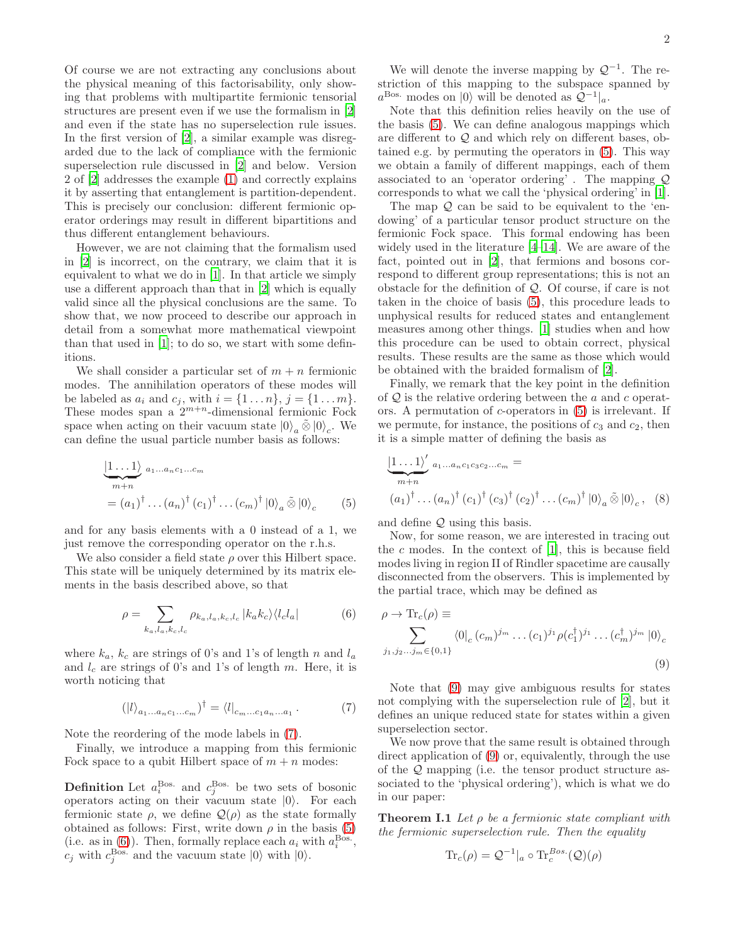Of course we are not extracting any conclusions about the physical meaning of this factorisability, only showing that problems with multipartite fermionic tensorial structures are present even if we use the formalism in [\[2](#page-4-1)] and even if the state has no superselection rule issues. In the first version of [\[2\]](#page-4-1), a similar example was disregarded due to the lack of compliance with the fermionic superselection rule discussed in [\[2\]](#page-4-1) and below. Version 2 of [\[2](#page-4-1)] addresses the example [\(1\)](#page-0-1) and correctly explains it by asserting that entanglement is partition-dependent. This is precisely our conclusion: different fermionic operator orderings may result in different bipartitions and thus different entanglement behaviours.

However, we are not claiming that the formalism used in [\[2\]](#page-4-1) is incorrect, on the contrary, we claim that it is equivalent to what we do in [\[1](#page-4-0)]. In that article we simply use a different approach than that in [\[2](#page-4-1)] which is equally valid since all the physical conclusions are the same. To show that, we now proceed to describe our approach in detail from a somewhat more mathematical viewpoint than that used in [\[1](#page-4-0)]; to do so, we start with some definitions.

We shall consider a particular set of  $m + n$  fermionic modes. The annihilation operators of these modes will be labeled as  $a_i$  and  $c_j$ , with  $i = \{1 ... n\}$ ,  $j = \{1 ... m\}$ . These modes span a  $2^{m+n}$ -dimensional fermionic Fock space when acting on their vacuum state  $|0\rangle_a \tilde{\otimes} |0\rangle_c$ . We can define the usual particle number basis as follows:

$$
\underbrace{|1 \dots 1\rangle}_{m+n} a_1 \dots a_n c_1 \dots c_m
$$
\n
$$
= (a_1)^{\dagger} \dots (a_n)^{\dagger} (c_1)^{\dagger} \dots (c_m)^{\dagger} |0\rangle_a \tilde{\otimes} |0\rangle_c \qquad (5)
$$

and for any basis elements with a 0 instead of a 1, we just remove the corresponding operator on the r.h.s.

We also consider a field state  $\rho$  over this Hilbert space. This state will be uniquely determined by its matrix elements in the basis described above, so that

$$
\rho = \sum_{k_a, l_a, k_c, l_c} \rho_{k_a, l_a, k_c, l_c} |k_a k_c\rangle \langle l_c l_a| \tag{6}
$$

where  $k_a$ ,  $k_c$  are strings of 0's and 1's of length n and  $l_a$ and  $l_c$  are strings of 0's and 1's of length m. Here, it is worth noticing that

$$
(|l\rangle_{a_1...a_n c_1...c_m})^{\dagger} = \langle l|_{c_m...c_1 a_n...a_1} . \tag{7}
$$

Note the reordering of the mode labels in [\(7\)](#page-1-0).

Finally, we introduce a mapping from this fermionic Fock space to a qubit Hilbert space of  $m + n$  modes:

**Definition** Let  $a_i^{\text{Bos.}}$  and  $c_j^{\text{Bos.}}$  be two sets of bosonic operators acting on their vacuum state  $|0\rangle$ . For each fermionic state  $\rho$ , we define  $\mathcal{Q}(\rho)$  as the state formally obtained as follows: First, write down  $\rho$  in the basis [\(5\)](#page-1-1) (i.e. as in  $(6)$ ). Then, formally replace each  $a_i$  with  $a_i^{\text{Bos}}$ ,  $c_j$  with  $c_j^{\text{Bos}}$  and the vacuum state  $|0\rangle$  with  $|0\rangle$ .

We will denote the inverse mapping by  $\mathcal{Q}^{-1}$ . The restriction of this mapping to the subspace spanned by  $a^{\text{Bos}}$  modes on  $|0\rangle$  will be denoted as  $\mathcal{Q}^{-1}|_a$ .

Note that this definition relies heavily on the use of the basis [\(5\)](#page-1-1). We can define analogous mappings which are different to Q and which rely on different bases, obtained e.g. by permuting the operators in [\(5\)](#page-1-1). This way we obtain a family of different mappings, each of them associated to an 'operator ordering' . The mapping Q corresponds to what we call the 'physical ordering' in [\[1\]](#page-4-0).

The map  $Q$  can be said to be equivalent to the 'endowing' of a particular tensor product structure on the fermionic Fock space. This formal endowing has been widely used in the literature [\[4](#page-4-4)[–14\]](#page-4-5). We are aware of the fact, pointed out in [\[2](#page-4-1)], that fermions and bosons correspond to different group representations; this is not an obstacle for the definition of Q. Of course, if care is not taken in the choice of basis [\(5\)](#page-1-1), this procedure leads to unphysical results for reduced states and entanglement measures among other things. [\[1\]](#page-4-0) studies when and how this procedure can be used to obtain correct, physical results. These results are the same as those which would be obtained with the braided formalism of [\[2\]](#page-4-1).

Finally, we remark that the key point in the definition of  $Q$  is the relative ordering between the a and c operators. A permutation of c-operators in [\(5\)](#page-1-1) is irrelevant. If we permute, for instance, the positions of  $c_3$  and  $c_2$ , then it is a simple matter of defining the basis as

$$
\underbrace{|1...1\rangle'}_{m+n} a_{1...a_{n}c_{1}c_{3}c_{2}...c_{m}} =
$$
\n
$$
(a_{1})^{\dagger} \dots (a_{n})^{\dagger} (c_{1})^{\dagger} (c_{3})^{\dagger} (c_{2})^{\dagger} \dots (c_{m})^{\dagger} |0\rangle_{a} \tilde{\otimes} |0\rangle_{c}, \quad (8)
$$

<span id="page-1-1"></span>and define Q using this basis.

Now, for some reason, we are interested in tracing out the  $c$  modes. In the context of  $[1]$ , this is because field modes living in region II of Rindler spacetime are causally disconnected from the observers. This is implemented by the partial trace, which may be defined as

<span id="page-1-3"></span><span id="page-1-2"></span>
$$
\rho \to \text{Tr}_c(\rho) \equiv \sum_{j_1, j_2, \dots, j_m \in \{0, 1\}} \langle 0 |_{c} (c_m)^{j_m} \dots (c_1)^{j_1} \rho(c_1^{\dagger})^{j_1} \dots (c_m^{\dagger})^{j_m} | 0 \rangle_c
$$
\n(9)

<span id="page-1-0"></span>Note that [\(9\)](#page-1-3) may give ambiguous results for states not complying with the superselection rule of [\[2\]](#page-4-1), but it defines an unique reduced state for states within a given superselection sector.

We now prove that the same result is obtained through direct application of [\(9\)](#page-1-3) or, equivalently, through the use of the Q mapping (i.e. the tensor product structure associated to the 'physical ordering'), which is what we do in our paper:

**Theorem I.1** Let  $\rho$  be a fermionic state compliant with the fermionic superselection rule. Then the equality

$$
\text{Tr}_c(\rho) = \mathcal{Q}^{-1}|_a \circ \text{Tr}_c^{Bos.}(\mathcal{Q})(\rho)
$$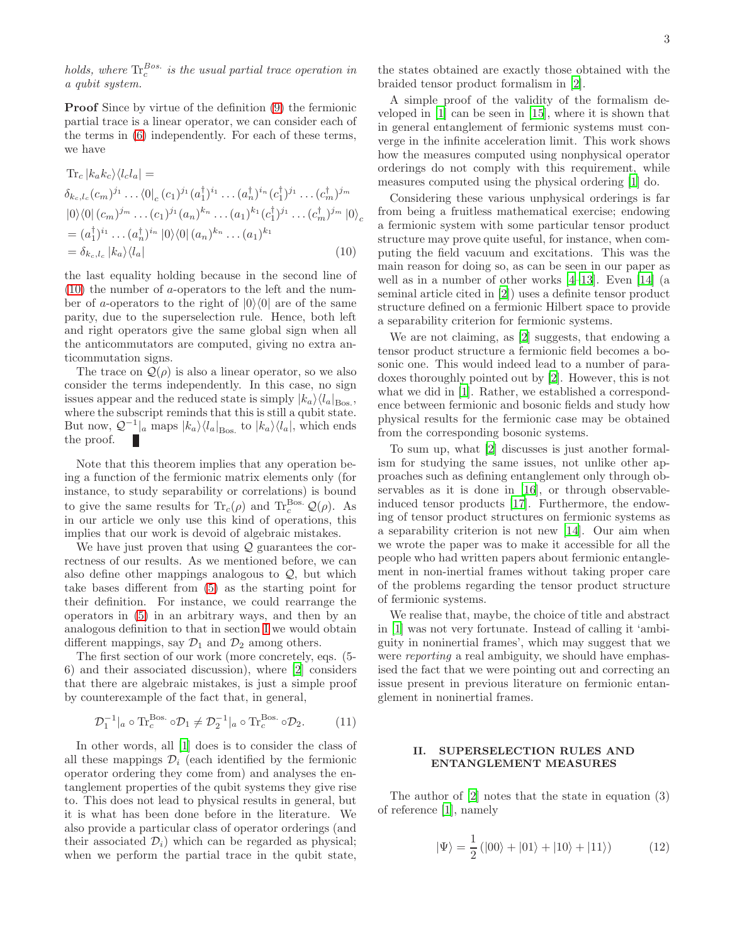holds, where  $\text{Tr}^{Bos.}_c$  is the usual partial trace operation in a qubit system.

Proof Since by virtue of the definition [\(9\)](#page-1-3) the fermionic partial trace is a linear operator, we can consider each of the terms in [\(6\)](#page-1-2) independently. For each of these terms, we have

$$
\begin{split}\n\operatorname{Tr}_{c} |k_{a}k_{c}\rangle\langle l_{c}l_{a}| &= \\
\delta_{k_{c},l_{c}}(c_{m})^{j_{1}}\dots\langle 0|_{c}(c_{1})^{j_{1}}(a_{1}^{\dagger})^{i_{1}}\dots(a_{n}^{\dagger})^{i_{n}}(c_{1}^{\dagger})^{j_{1}}\dots(c_{m}^{\dagger})^{j_{m}} \\
|0\rangle\langle 0| (c_{m})^{j_{m}}\dots(c_{1})^{j_{1}}(a_{n})^{k_{n}}\dots(a_{1})^{k_{1}}(c_{1}^{\dagger})^{j_{1}}\dots(c_{m}^{\dagger})^{j_{m}}|0\rangle_{c} \\
&= (a_{1}^{\dagger})^{i_{1}}\dots(a_{n}^{\dagger})^{i_{n}}|0\rangle\langle 0| (a_{n})^{k_{n}}\dots(a_{1})^{k_{1}} \\
&= \delta_{k_{c},l_{c}}|k_{a}\rangle\langle l_{a}| \n\end{split} \tag{10}
$$

the last equality holding because in the second line of [\(10\)](#page-2-1) the number of a-operators to the left and the number of a-operators to the right of  $|0\rangle\langle 0|$  are of the same parity, due to the superselection rule. Hence, both left and right operators give the same global sign when all the anticommutators are computed, giving no extra anticommutation signs.

The trace on  $\mathcal{Q}(\rho)$  is also a linear operator, so we also consider the terms independently. In this case, no sign issues appear and the reduced state is simply  $|k_a\rangle\langle l_a|_{\text{Bos}}$ , where the subscript reminds that this is still a qubit state. But now,  $\mathcal{Q}^{-1}$ <sub>|a</sub> maps  $|k_a\rangle\langle l_a|_{\text{Bos}}$  to  $|k_a\rangle\langle l_a|$ , which ends the proof.

Note that this theorem implies that any operation being a function of the fermionic matrix elements only (for instance, to study separability or correlations) is bound to give the same results for  $\text{Tr}_c(\rho)$  and  $\text{Tr}_c^{\text{Bos.}}\mathcal{Q}(\rho)$ . As in our article we only use this kind of operations, this implies that our work is devoid of algebraic mistakes.

We have just proven that using  $\mathcal Q$  guarantees the correctness of our results. As we mentioned before, we can also define other mappings analogous to  $Q$ , but which take bases different from [\(5\)](#page-1-1) as the starting point for their definition. For instance, we could rearrange the operators in [\(5\)](#page-1-1) in an arbitrary ways, and then by an analogous definition to that in section [I](#page-1-0) we would obtain different mappings, say  $\mathcal{D}_1$  and  $\mathcal{D}_2$  among others.

The first section of our work (more concretely, eqs. (5- 6) and their associated discussion), where [\[2\]](#page-4-1) considers that there are algebraic mistakes, is just a simple proof by counterexample of the fact that, in general,

$$
\mathcal{D}_1^{-1}|_a \circ \text{Tr}_c^{\text{Bos.}} \circ \mathcal{D}_1 \neq \mathcal{D}_2^{-1}|_a \circ \text{Tr}_c^{\text{Bos.}} \circ \mathcal{D}_2. \tag{11}
$$

In other words, all [\[1\]](#page-4-0) does is to consider the class of all these mappings  $\mathcal{D}_i$  (each identified by the fermionic operator ordering they come from) and analyses the entanglement properties of the qubit systems they give rise to. This does not lead to physical results in general, but it is what has been done before in the literature. We also provide a particular class of operator orderings (and their associated  $\mathcal{D}_i$ ) which can be regarded as physical; when we perform the partial trace in the qubit state,

the states obtained are exactly those obtained with the braided tensor product formalism in [\[2\]](#page-4-1).

A simple proof of the validity of the formalism developed in [\[1\]](#page-4-0) can be seen in [\[15](#page-4-6)], where it is shown that in general entanglement of fermionic systems must converge in the infinite acceleration limit. This work shows how the measures computed using nonphysical operator orderings do not comply with this requirement, while measures computed using the physical ordering [\[1](#page-4-0)] do.

<span id="page-2-1"></span>Considering these various unphysical orderings is far from being a fruitless mathematical exercise; endowing a fermionic system with some particular tensor product structure may prove quite useful, for instance, when computing the field vacuum and excitations. This was the main reason for doing so, as can be seen in our paper as well as in a number of other works [\[4](#page-4-4)[–13\]](#page-4-7). Even [\[14\]](#page-4-5) (a seminal article cited in [\[2\]](#page-4-1)) uses a definite tensor product structure defined on a fermionic Hilbert space to provide a separability criterion for fermionic systems.

We are not claiming, as [\[2\]](#page-4-1) suggests, that endowing a tensor product structure a fermionic field becomes a bosonic one. This would indeed lead to a number of paradoxes thoroughly pointed out by [\[2](#page-4-1)]. However, this is not what we did in [\[1](#page-4-0)]. Rather, we established a correspondence between fermionic and bosonic fields and study how physical results for the fermionic case may be obtained from the corresponding bosonic systems.

To sum up, what [\[2](#page-4-1)] discusses is just another formalism for studying the same issues, not unlike other approaches such as defining entanglement only through observables as it is done in [\[16\]](#page-4-8), or through observableinduced tensor products [\[17](#page-4-9)]. Furthermore, the endowing of tensor product structures on fermionic systems as a separability criterion is not new [\[14](#page-4-5)]. Our aim when we wrote the paper was to make it accessible for all the people who had written papers about fermionic entanglement in non-inertial frames without taking proper care of the problems regarding the tensor product structure of fermionic systems.

We realise that, maybe, the choice of title and abstract in [\[1](#page-4-0)] was not very fortunate. Instead of calling it 'ambiguity in noninertial frames', which may suggest that we were *reporting* a real ambiguity, we should have emphasised the fact that we were pointing out and correcting an issue present in previous literature on fermionic entanglement in noninertial frames.

#### <span id="page-2-0"></span>II. SUPERSELECTION RULES AND ENTANGLEMENT MEASURES

The author of [\[2\]](#page-4-1) notes that the state in equation (3) of reference [\[1\]](#page-4-0), namely

<span id="page-2-2"></span>
$$
|\Psi\rangle = \frac{1}{2} (|00\rangle + |01\rangle + |10\rangle + |11\rangle)
$$
 (12)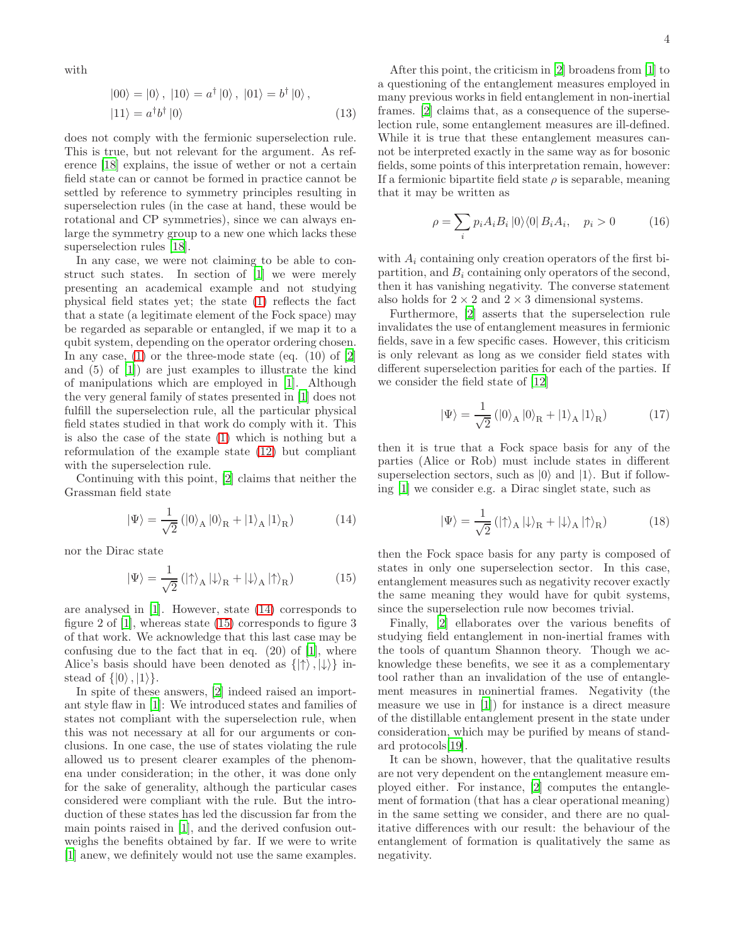with

$$
|00\rangle = |0\rangle, |10\rangle = a^{\dagger} |0\rangle, |01\rangle = b^{\dagger} |0\rangle, |11\rangle = a^{\dagger} b^{\dagger} |0\rangle
$$
\n(13)

does not comply with the fermionic superselection rule. This is true, but not relevant for the argument. As reference [\[18](#page-4-10)] explains, the issue of wether or not a certain field state can or cannot be formed in practice cannot be settled by reference to symmetry principles resulting in superselection rules (in the case at hand, these would be rotational and CP symmetries), since we can always enlarge the symmetry group to a new one which lacks these superselection rules [\[18\]](#page-4-10).

In any case, we were not claiming to be able to construct such states. In section of [\[1\]](#page-4-0) we were merely presenting an academical example and not studying physical field states yet; the state [\(1\)](#page-0-1) reflects the fact that a state (a legitimate element of the Fock space) may be regarded as separable or entangled, if we map it to a qubit system, depending on the operator ordering chosen. In any case,  $(1)$  or the three-mode state (eq.  $(10)$  of  $[2]$ ) and (5) of [\[1\]](#page-4-0)) are just examples to illustrate the kind of manipulations which are employed in [\[1](#page-4-0)]. Although the very general family of states presented in [\[1](#page-4-0)] does not fulfill the superselection rule, all the particular physical field states studied in that work do comply with it. This is also the case of the state [\(1\)](#page-0-1) which is nothing but a reformulation of the example state [\(12\)](#page-2-2) but compliant with the superselection rule.

Continuing with this point, [\[2\]](#page-4-1) claims that neither the Grassman field state

$$
|\Psi\rangle = \frac{1}{\sqrt{2}} (|0\rangle_{\text{A}} |0\rangle_{\text{R}} + |1\rangle_{\text{A}} |1\rangle_{\text{R}})
$$
 (14)

nor the Dirac state

$$
|\Psi\rangle = \frac{1}{\sqrt{2}} \left( |\uparrow\rangle_A | \downarrow\rangle_R + |\downarrow\rangle_A | \uparrow\rangle_R \right) \tag{15}
$$

are analysed in [\[1\]](#page-4-0). However, state [\(14\)](#page-3-0) corresponds to figure 2 of [\[1\]](#page-4-0), whereas state [\(15\)](#page-3-1) corresponds to figure 3 of that work. We acknowledge that this last case may be confusing due to the fact that in eq.  $(20)$  of  $[1]$ , where Alice's basis should have been denoted as  $\{|\uparrow\rangle, |\downarrow\rangle\}$  instead of  $\{|0\rangle, |1\rangle\}.$ 

In spite of these answers, [\[2](#page-4-1)] indeed raised an important style flaw in [\[1\]](#page-4-0): We introduced states and families of states not compliant with the superselection rule, when this was not necessary at all for our arguments or conclusions. In one case, the use of states violating the rule allowed us to present clearer examples of the phenomena under consideration; in the other, it was done only for the sake of generality, although the particular cases considered were compliant with the rule. But the introduction of these states has led the discussion far from the main points raised in [\[1](#page-4-0)], and the derived confusion outweighs the benefits obtained by far. If we were to write [\[1\]](#page-4-0) anew, we definitely would not use the same examples.

After this point, the criticism in [\[2\]](#page-4-1) broadens from [\[1](#page-4-0)] to a questioning of the entanglement measures employed in many previous works in field entanglement in non-inertial frames. [\[2\]](#page-4-1) claims that, as a consequence of the superselection rule, some entanglement measures are ill-defined. While it is true that these entanglement measures cannot be interpreted exactly in the same way as for bosonic fields, some points of this interpretation remain, however: If a fermionic bipartite field state  $\rho$  is separable, meaning that it may be written as

$$
\rho = \sum_{i} p_i A_i B_i \, |0\rangle\langle 0| B_i A_i, \quad p_i > 0 \tag{16}
$$

with  $A_i$  containing only creation operators of the first bipartition, and  $B_i$  containing only operators of the second, then it has vanishing negativity. The converse statement also holds for  $2 \times 2$  and  $2 \times 3$  dimensional systems.

Furthermore, [\[2](#page-4-1)] asserts that the superselection rule invalidates the use of entanglement measures in fermionic fields, save in a few specific cases. However, this criticism is only relevant as long as we consider field states with different superselection parities for each of the parties. If we consider the field state of [\[12\]](#page-4-11)

$$
|\Psi\rangle = \frac{1}{\sqrt{2}} (|0\rangle_{\text{A}} |0\rangle_{\text{R}} + |1\rangle_{\text{A}} |1\rangle_{\text{R}})
$$
 (17)

then it is true that a Fock space basis for any of the parties (Alice or Rob) must include states in different superselection sectors, such as  $|0\rangle$  and  $|1\rangle$ . But if following [\[1](#page-4-0)] we consider e.g. a Dirac singlet state, such as

$$
|\Psi\rangle = \frac{1}{\sqrt{2}} \left( |\uparrow\rangle_A | \downarrow\rangle_R + |\downarrow\rangle_A | \uparrow\rangle_R \right) \tag{18}
$$

<span id="page-3-1"></span><span id="page-3-0"></span>then the Fock space basis for any party is composed of states in only one superselection sector. In this case, entanglement measures such as negativity recover exactly the same meaning they would have for qubit systems, since the superselection rule now becomes trivial.

Finally, [\[2\]](#page-4-1) ellaborates over the various benefits of studying field entanglement in non-inertial frames with the tools of quantum Shannon theory. Though we acknowledge these benefits, we see it as a complementary tool rather than an invalidation of the use of entanglement measures in noninertial frames. Negativity (the measure we use in [\[1\]](#page-4-0)) for instance is a direct measure of the distillable entanglement present in the state under consideration, which may be purified by means of standard protocols[\[19](#page-4-12)].

It can be shown, however, that the qualitative results are not very dependent on the entanglement measure employed either. For instance, [\[2\]](#page-4-1) computes the entanglement of formation (that has a clear operational meaning) in the same setting we consider, and there are no qualitative differences with our result: the behaviour of the entanglement of formation is qualitatively the same as negativity.